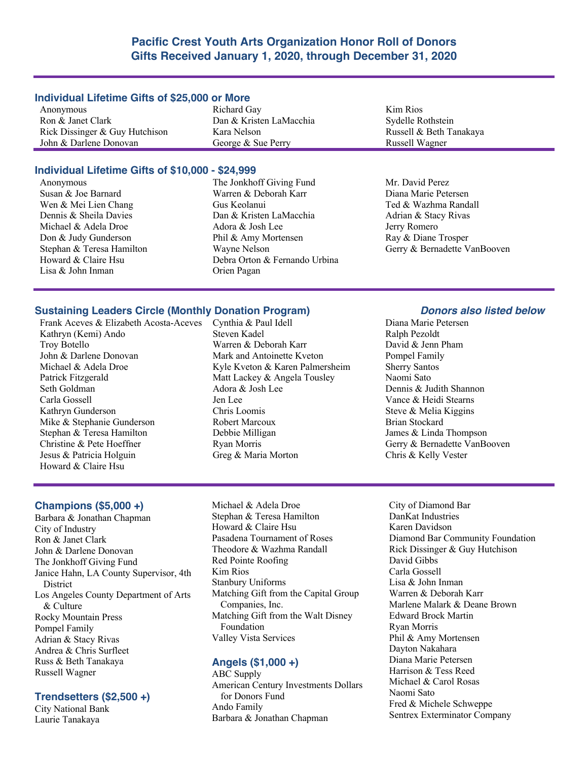# **Pacific Crest Youth Arts Organization Honor Roll of Donors Gifts Received January 1, 2020, through December 31, 2020**

#### **Individual Lifetime Gifts of \$25,000 or More**

Anonymous Ron & Janet Clark Rick Dissinger & Guy Hutchison John & Darlene Donovan

Richard Gay Dan & Kristen LaMacchia Kara Nelson George & Sue Perry

# **Individual Lifetime Gifts of \$10,000 - \$24,999**

- Anonymous Susan & Joe Barnard Wen & Mei Lien Chang Dennis & Sheila Davies Michael & Adela Droe Don & Judy Gunderson Stephan & Teresa Hamilton Howard & Claire Hsu Lisa & John Inman
- The Jonkhoff Giving Fund Warren & Deborah Karr Gus Keolanui Dan & Kristen LaMacchia Adora & Josh Lee Phil & Amy Mortensen Wayne Nelson Debra Orton & Fernando Urbina Orien Pagan

Kim Rios Sydelle Rothstein Russell & Beth Tanakaya Russell Wagner

Mr. David Perez Diana Marie Petersen Ted & Wazhma Randall Adrian & Stacy Rivas Jerry Romero Ray & Diane Trosper Gerry & Bernadette VanBooven

# **Sustaining Leaders Circle (Monthly Donation Program)** *Donors also listed below*

Frank Aceves & Elizabeth Acosta-Aceves Cynthia & Paul Idell Kathryn (Kemi) Ando Troy Botello John & Darlene Donovan Michael & Adela Droe Patrick Fitzgerald Seth Goldman Carla Gossell Kathryn Gunderson Mike & Stephanie Gunderson Stephan & Teresa Hamilton Christine & Pete Hoeffner Jesus & Patricia Holguin Howard & Claire Hsu

Steven Kadel Warren & Deborah Karr Mark and Antoinette Kveton Kyle Kveton & Karen Palmersheim Matt Lackey & Angela Tousley Adora & Josh Lee Jen Lee Chris Loomis Robert Marcoux Debbie Milligan Ryan Morris Greg & Maria Morton

Diana Marie Petersen Ralph Pezoldt David & Jenn Pham Pompel Family Sherry Santos Naomi Sato Dennis & Judith Shannon Vance & Heidi Stearns Steve & Melia Kiggins Brian Stockard James & Linda Thompson Gerry & Bernadette VanBooven Chris & Kelly Vester

## **Champions (\$5,000 +)**

Barbara & Jonathan Chapman City of Industry Ron & Janet Clark John & Darlene Donovan The Jonkhoff Giving Fund Janice Hahn, LA County Supervisor, 4th **District** Los Angeles County Department of Arts & Culture Rocky Mountain Press Pompel Family Adrian & Stacy Rivas Andrea & Chris Surfleet Russ & Beth Tanakaya Russell Wagner

### **Trendsetters (\$2,500 +)**

City National Bank Laurie Tanakaya

Michael & Adela Droe Stephan & Teresa Hamilton Howard & Claire Hsu Pasadena Tournament of Roses Theodore & Wazhma Randall Red Pointe Roofing Kim Rios Stanbury Uniforms Matching Gift from the Capital Group Companies, Inc. Matching Gift from the Walt Disney Foundation Valley Vista Services

# **Angels (\$1,000 +)**

ABC Supply American Century Investments Dollars for Donors Fund Ando Family Barbara & Jonathan Chapman

City of Diamond Bar DanKat Industries Karen Davidson Diamond Bar Community Foundation Rick Dissinger & Guy Hutchison David Gibbs Carla Gossell Lisa & John Inman Warren & Deborah Karr Marlene Malark & Deane Brown Edward Brock Martin Ryan Morris Phil & Amy Mortensen Dayton Nakahara Diana Marie Petersen Harrison & Tess Reed Michael & Carol Rosas Naomi Sato Fred & Michele Schweppe Sentrex Exterminator Company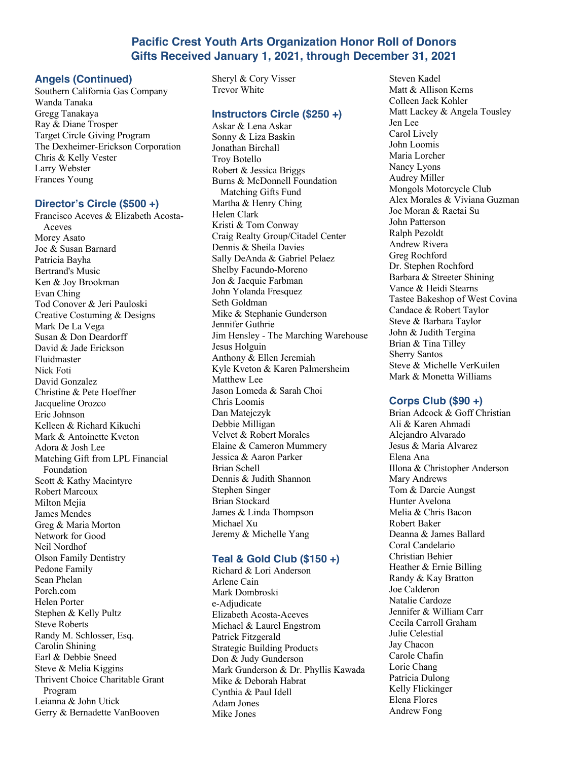# **Pacific Crest Youth Arts Organization Honor Roll of Donors Gifts Received January 1, 2021, through December 31, 2021**

# **Angels (Continued)**

Southern California Gas Company Wanda Tanaka Gregg Tanakaya Ray & Diane Trosper Target Circle Giving Program The Dexheimer-Erickson Corporation Chris & Kelly Vester Larry Webster Frances Young

# **Director's Circle (\$500 +)**

Francisco Aceves & Elizabeth Acosta-Aceves Morey Asato Joe & Susan Barnard Patricia Bayha Bertrand's Music Ken & Joy Brookman Evan Ching Tod Conover & Jeri Pauloski Creative Costuming & Designs Mark De La Vega Susan & Don Deardorff David & Jade Erickson Fluidmaster Nick Foti David Gonzalez Christine & Pete Hoeffner Jacqueline Orozco Eric Johnson Kelleen & Richard Kikuchi Mark & Antoinette Kveton Adora & Josh Lee Matching Gift from LPL Financial Foundation Scott & Kathy Macintyre Robert Marcoux Milton Mejia James Mendes Greg & Maria Morton Network for Good Neil Nordhof Olson Family Dentistry Pedone Family Sean Phelan Porch.com Helen Porter Stephen & Kelly Pultz Steve Roberts Randy M. Schlosser, Esq. Carolin Shining Earl & Debbie Sneed Steve & Melia Kiggins Thrivent Choice Charitable Grant Program Leianna & John Utick Gerry & Bernadette VanBooven

Sheryl & Cory Visser Trevor White

## **Instructors Circle (\$250 +)**

Askar & Lena Askar Sonny & Liza Baskin Jonathan Birchall Troy Botello Robert & Jessica Briggs Burns & McDonnell Foundation Matching Gifts Fund Martha & Henry Ching Helen Clark Kristi & Tom Conway Craig Realty Group/Citadel Center Dennis & Sheila Davies Sally DeAnda & Gabriel Pelaez Shelby Facundo-Moreno Jon & Jacquie Farbman John Yolanda Fresquez Seth Goldman Mike & Stephanie Gunderson Jennifer Guthrie Jim Hensley - The Marching Warehouse Jesus Holguin Anthony & Ellen Jeremiah Kyle Kveton & Karen Palmersheim Matthew Lee Jason Lomeda & Sarah Choi Chris Loomis Dan Matejczyk Debbie Milligan Velvet & Robert Morales Elaine & Cameron Mummery Jessica & Aaron Parker Brian Schell Dennis & Judith Shannon Stephen Singer Brian Stockard James & Linda Thompson Michael Xu Jeremy & Michelle Yang

# **Teal & Gold Club (\$150 +)**

Richard & Lori Anderson Arlene Cain Mark Dombroski e-Adjudicate Elizabeth Acosta-Aceves Michael & Laurel Engstrom Patrick Fitzgerald Strategic Building Products Don & Judy Gunderson Mark Gunderson & Dr. Phyllis Kawada Mike & Deborah Habrat Cynthia & Paul Idell Adam Jones Mike Jones

Steven Kadel Matt & Allison Kerns Colleen Jack Kohler Matt Lackey & Angela Tousley Jen Lee Carol Lively John Loomis Maria Lorcher Nancy Lyons Audrey Miller Mongols Motorcycle Club Alex Morales & Viviana Guzman Joe Moran & Raetai Su John Patterson Ralph Pezoldt Andrew Rivera Greg Rochford Dr. Stephen Rochford Barbara & Streeter Shining Vance & Heidi Stearns Tastee Bakeshop of West Covina Candace & Robert Taylor Steve & Barbara Taylor John & Judith Tergina Brian & Tina Tilley Sherry Santos Steve & Michelle VerKuilen Mark & Monetta Williams

# **Corps Club (\$90 +)**

Brian Adcock & Goff Christian Ali & Karen Ahmadi Alejandro Alvarado Jesus & Maria Alvarez Elena Ana Illona & Christopher Anderson Mary Andrews Tom & Darcie Aungst Hunter Avelona Melia & Chris Bacon Robert Baker Deanna & James Ballard Coral Candelario Christian Behier Heather & Ernie Billing Randy & Kay Bratton Joe Calderon Natalie Cardoze Jennifer & William Carr Cecila Carroll Graham Julie Celestial Jay Chacon Carole Chafin Lorie Chang Patricia Dulong Kelly Flickinger Elena Flores Andrew Fong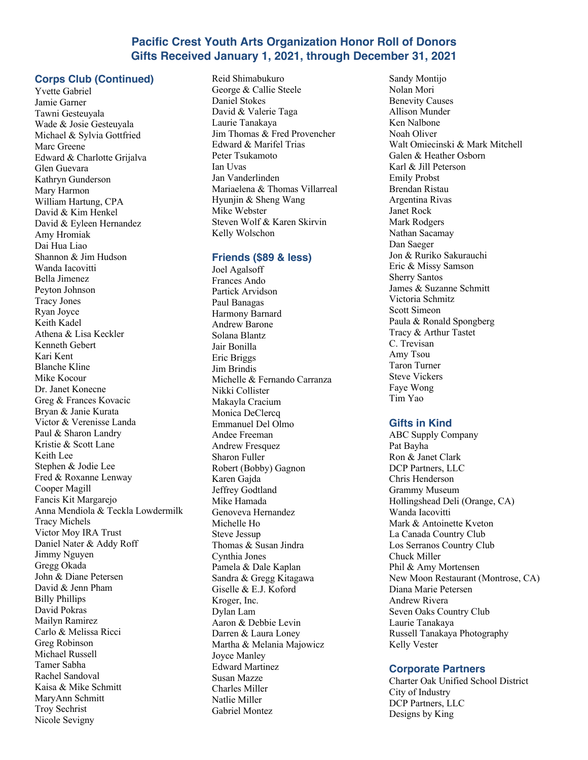# **Pacific Crest Youth Arts Organization Honor Roll of Donors Gifts Received January 1, 2021, through December 31, 2021**

## **Corps Club (Continued)**

Yvette Gabriel Jamie Garner Tawni Gesteuyala Wade & Josie Gesteuyala Michael & Sylvia Gottfried Marc Greene Edward & Charlotte Grijalva Glen Guevara Kathryn Gunderson Mary Harmon William Hartung, CPA David & Kim Henkel David & Eyleen Hernandez Amy Hromiak Dai Hua Liao Shannon & Jim Hudson Wanda Iacovitti Bella Jimenez Peyton Johnson Tracy Jones Ryan Joyce Keith Kadel Athena & Lisa Keckler Kenneth Gebert Kari Kent Blanche Kline Mike Kocour Dr. Janet Konecne Greg & Frances Kovacic Bryan & Janie Kurata Victor & Verenisse Landa Paul & Sharon Landry Kristie & Scott Lane Keith Lee Stephen & Jodie Lee Fred & Roxanne Lenway Cooper Magill Fancis Kit Margarejo Anna Mendiola & Teckla Lowdermilk Tracy Michels Victor Moy IRA Trust Daniel Nater & Addy Roff Jimmy Nguyen Gregg Okada John & Diane Petersen David & Jenn Pham Billy Phillips David Pokras Mailyn Ramirez Carlo & Melissa Ricci Greg Robinson Michael Russell Tamer Sabha Rachel Sandoval Kaisa & Mike Schmitt MaryAnn Schmitt Troy Sechrist Nicole Sevigny

Reid Shimabukuro George & Callie Steele Daniel Stokes David & Valerie Taga Laurie Tanakaya Jim Thomas & Fred Provencher Edward & Marifel Trias Peter Tsukamoto Ian Uvas Jan Vanderlinden Mariaelena & Thomas Villarreal Hyunjin & Sheng Wang Mike Webster Steven Wolf & Karen Skirvin Kelly Wolschon

#### **Friends (\$89 & less)**

Joel Agalsoff Frances Ando Partick Arvidson Paul Banagas Harmony Barnard Andrew Barone Solana Blantz Jair Bonilla Eric Briggs Jim Brindis Michelle & Fernando Carranza Nikki Collister Makayla Cracium Monica DeClercq Emmanuel Del Olmo Andee Freeman **Andrew Fresquez** Sharon Fuller Robert (Bobby) Gagnon Karen Gajda Jeffrey Godtland Mike Hamada Genoveva Hernandez Michelle Ho Steve Jessup Thomas & Susan Jindra Cynthia Jones Pamela & Dale Kaplan Sandra & Gregg Kitagawa Giselle & E.J. Koford Kroger, Inc. Dylan Lam Aaron & Debbie Levin Darren & Laura Loney Martha & Melania Majowicz Joyce Manley Edward Martinez Susan Mazze Charles Miller Natlie Miller Gabriel Montez

Sandy Montijo Nolan Mori Benevity Causes Allison Munder Ken Nalbone Noah Oliver Walt Omiecinski & Mark Mitchell Galen & Heather Osborn Karl & Jill Peterson Emily Probst Brendan Ristau Argentina Rivas Janet Rock Mark Rodgers Nathan Sacamay Dan Saeger Jon & Ruriko Sakurauchi Eric & Missy Samson Sherry Santos James & Suzanne Schmitt Victoria Schmitz Scott Simeon Paula & Ronald Spongberg Tracy & Arthur Tastet C. Trevisan Amy Tsou Taron Turner Steve Vickers Faye Wong Tim Yao

### **Gifts in Kind**

ABC Supply Company Pat Bayha Ron & Janet Clark DCP Partners, LLC Chris Henderson Grammy Museum Hollingshead Deli (Orange, CA) Wanda Iacovitti Mark & Antoinette Kveton La Canada Country Club Los Serranos Country Club Chuck Miller Phil & Amy Mortensen New Moon Restaurant (Montrose, CA) Diana Marie Petersen Andrew Rivera Seven Oaks Country Club Laurie Tanakaya Russell Tanakaya Photography Kelly Vester

### **Corporate Partners**

Charter Oak Unified School District City of Industry DCP Partners, LLC Designs by King